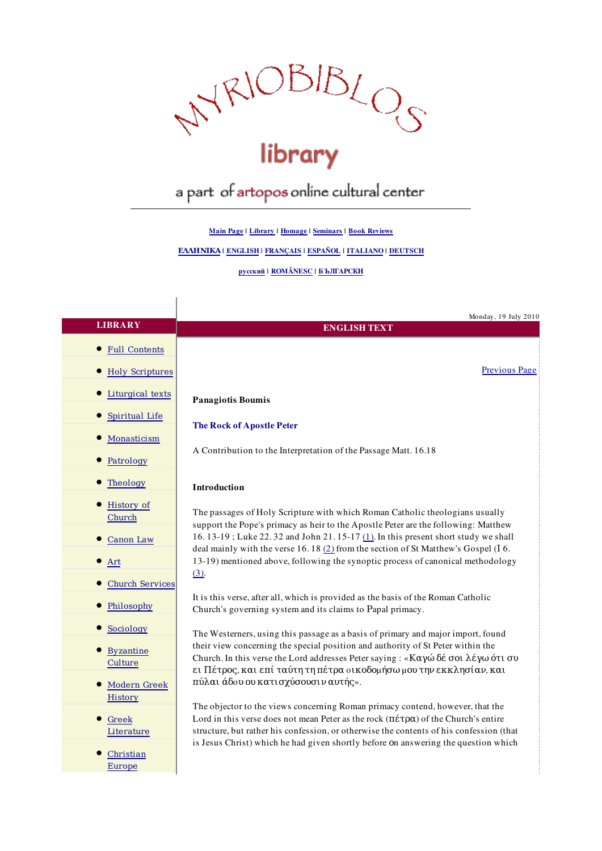

# a part of artopos online cultural center

Main Page | Library | Homage | Seminars | Book Reviews

ΕΛΛΗΝΙΚΑ | ENGLISH | FRANÇAIS | ESPAÑOL | ITALIANO | DEUTSCH

## русский | ROMÂNESC | БЪЛГАРСКИ

 $\overline{\phantom{a}}$ 

|                                | Monday, 19 July 2010                                                                                                                                                                                                                       |
|--------------------------------|--------------------------------------------------------------------------------------------------------------------------------------------------------------------------------------------------------------------------------------------|
| <b>LIBRARY</b>                 | <b>ENGLISH TEXT</b>                                                                                                                                                                                                                        |
| <b>Full Contents</b>           |                                                                                                                                                                                                                                            |
| <b>Holy Scriptures</b>         | Previous Page                                                                                                                                                                                                                              |
| Liturgical texts               | <b>Panagiotis Boumis</b>                                                                                                                                                                                                                   |
| Spiritual Life                 | <b>The Rock of Apostle Peter</b>                                                                                                                                                                                                           |
| Monasticism                    |                                                                                                                                                                                                                                            |
| Patrology                      | A Contribution to the Interpretation of the Passage Matt. 16.18                                                                                                                                                                            |
| Theology                       | Introduction                                                                                                                                                                                                                               |
| History of<br>Church           | The passages of Holy Scripture with which Roman Catholic theologians usually<br>support the Pope's primacy as heir to the Apostle Peter are the following: Matthew                                                                         |
| Canon Law                      | 16.13-19; Luke 22.32 and John 21.15-17 (1). In this present short study we shall<br>deal mainly with the verse 16.18 $(2)$ from the section of St Matthew's Gospel (I 6.                                                                   |
| Art                            | 13-19) mentioned above, following the synoptic process of canonical methodology<br>$(3)$ .                                                                                                                                                 |
| <b>Church Services</b>         |                                                                                                                                                                                                                                            |
| Philosophy                     | It is this verse, after all, which is provided as the basis of the Roman Catholic<br>Church's governing system and its claims to Papal primacy.                                                                                            |
| Sociology                      | The Westerners, using this passage as a basis of primary and major import, found                                                                                                                                                           |
| <b>Byzantine</b><br>Culture    | their view concerning the special position and authority of St Peter within the<br>Church. In this verse the Lord addresses Peter saying : «Καγώ δέ σοι λέγω ότι συ<br>ει Πέτρος, και επί ταύτη τη πέτρα οικοδομήσω μου την εκκλησίαν, και |
| <b>Modern Greek</b><br>History | πύλαι άδου ου κατισχύσουσιν αυτής».                                                                                                                                                                                                        |
|                                | The objector to the views concerning Roman primacy contend, however, that the                                                                                                                                                              |
| Greek                          | Lord in this verse does not mean Peter as the rock $(\Pi \acute{\epsilon} \tau \rho \alpha)$ of the Church's entire<br>structure, but rather his confession, or otherwise the contents of his confession (that                             |
| Literature                     | is Jesus Christ) which he had given shortly before on answering the question which                                                                                                                                                         |
| Christian                      |                                                                                                                                                                                                                                            |
| Europe                         |                                                                                                                                                                                                                                            |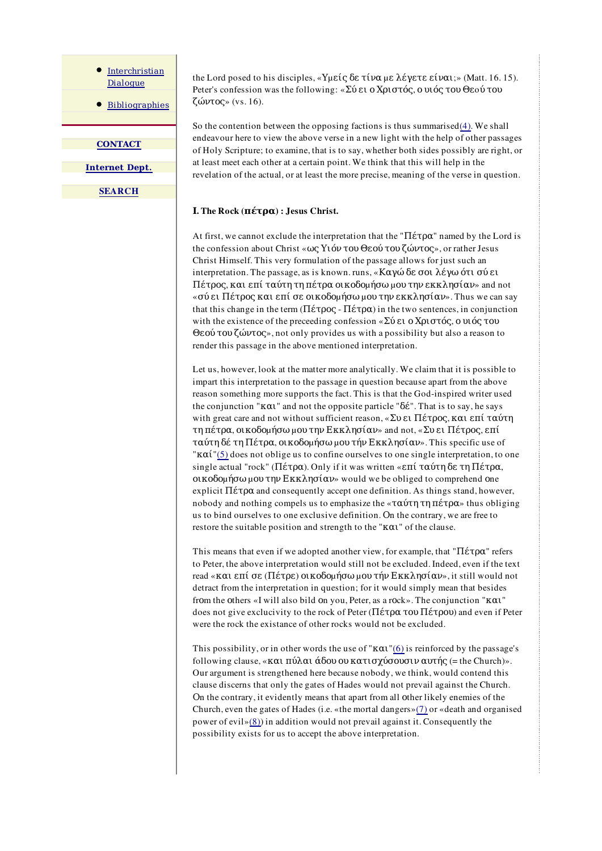Interchristian Dialogue

Bibliographies

**CONTACT** 

Internet Dept.

**SEARCH** 

the Lord posed to his disciples, «Υμείς δε τίνα με λέγετε είναι;» (Matt. 16.15). Peter's confession was the following: «Σύ ει ο Χριστός, ο υιός του Θεoύ του ζώντος» (vs. 16).

So the contention between the opposing factions is thus summarised $(4)$ . We shall endeavour here to view the above verse in a new light with the help of other passages of Holy Scripture; to examine, that is to say, whether both sides possibly are right, or at least meet each other at a certain point. We think that this will help in the revelation of the actual, or at least the more precise, meaning of the verse in question.

# Ι. The Rock (πέτρα) : Jesus Christ.

At first, we cannot exclude the interpretation that the "Πέτρα" named by the Lord is the confession about Christ «ως Υιόν του Θεού του ζώντος», or rather Jesus Christ Himself. This very formulation of the passage allows for just such an interpretation. The passage, as is known. runs, «Καγώ δε σοι λέγω ότι σύ ει Πέτρος, και επί ταύτη τη πέτρα οικοδοµήσω µου την εκκλησίαν» and not «σύ ει Πέτρος και επί σε οικοδομήσω μου την εκκλησίαν». Thus we can say that this change in the term (Πέτρος - Πέτρα) in the two sentences, in conjunction with the existence of the preceeding confession «Σύ ει ο Χριστός, ο υιός του Θεού του ζώντος», not only provides us with a possibility but also a reason to render this passage in the above mentioned interpretation.

Let us, however, look at the matter more analytically. We claim that it is possible to impart this interpretation to the passage in question because apart from the above reason something more supports the fact. This is that the God-inspired writer used the conjunction " $K\alpha$ <sup>"</sup> and not the opposite particle " $\delta \acute{\epsilon}$ ". That is to say, he says with great care and not without sufficient reason, «Συ ει Πέτρος, και επί ταύτη τη πέτρα, οικοδοµήσω µου την Εκκλησίαν» and not, «Συ ει Πέτρος, επί ταύτη δέ τη Πέτρα, οικοδοµήσω µου τήν Εκκλησίαν». This specific use of " $K\alpha i$ "(5) does not oblige us to confine ourselves to one single interpretation, to one single actual "rock" (Πέτρα). Only if it was written «επί ταύτη δε τη Πέτρα,  $\alpha$ κοδομήσω μου την Εκκλησίαν» would we be obliged to comprehend one explicit  $\Pi \not\in \pi$  and consequently accept one definition. As things stand, however, nobody and nothing compels us to emphasize the «ταύτη τη πέτρα» thus obliging us to bind ourselves to one exclusive definition. Οn the contrary, we are free to restore the suitable position and strength to the " $K\alpha$ <sup>"</sup> of the clause.

This means that even if we adopted another view, for example, that "Πέτρα" refers to Peter, the above interpretation would still not be excluded. Indeed, even if the text read «και επί σε (Πέτρε) οικοδομήσω μου τήν Εκκλησίαν», it still would not detract from the interpretation in question; for it would simply mean that besides frοm the οthers «I will also bild οn you, Peter, as a rοck». The conjunction "και" does not give exclucivity to the rock of Peter (Πέτρα του Πέτρου) and even if Peter were the rock the existance of other rocks would not be excluded.

This possibility, or in other words the use of " $K\alpha$ <sup>"</sup>(6) is reinforced by the passage's following clause, «και πύλαι άδου ου κατισγύσουσιν αυτής (= the Church)». Our argument is strengthened here because nobody, we think, would contend this clause discerns that only the gates of Hades would not prevail against the Church. Οn the contrary, it evidently means that apart from all οther likely enemies of the Church, even the gates of Hades (i.e. «the mortal dangers»(7) or «death and organised power of evil»(8)) in addition would not prevail against it. Consequently the possibility exists for us to accept the above interpretation.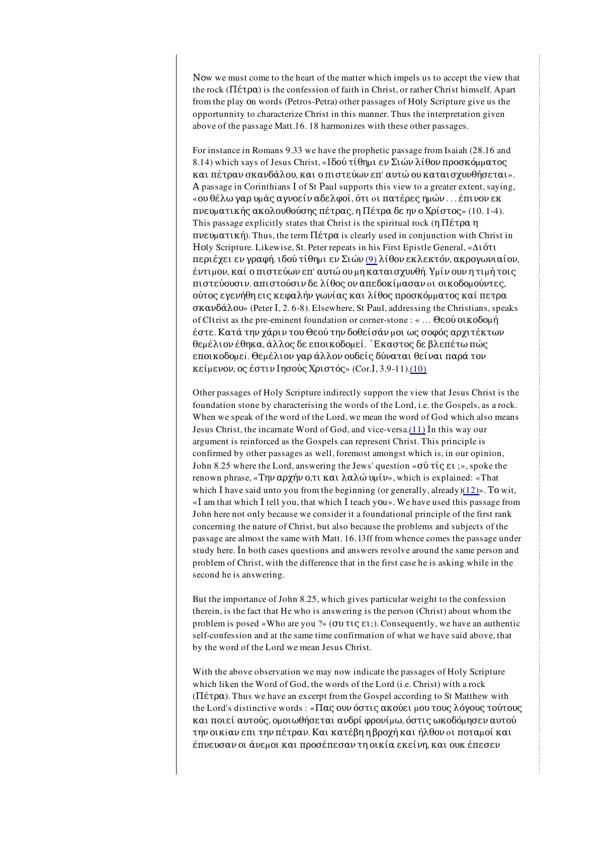Now we must come to the heart of the matter which impels us to accept the view that the rock (Πέτρα) is the confession of faith in Christ, or rather Christ himself. Apart from the play οn words (Petros-Petra) other passages of Hοly Scripture give us the opportunnity to characterize Christ in this manner. Thus the interpretation given above of the passage Matt.16. 18 harmonizes with these other passages.

For instance in Romans 9.33 we have the prophetic passage from Isaiah (28.16 and 8.14) which says of Jesus Christ, «Ιδού τίθημι εν Σιών λίθον προσκόμματος και πέτραν σκανδάλου, και ο πιστεύων επ' αυτώ ου καταισχυνθήσεται». Α passage in Corinthians Ι of St Ρaul supports this view to a greater extent, saying, «ου θέλω γαρ υµάς αγνοείν αδελφοί, ότι oι πατέρες ηµών . . . έπινον εκ πνευµατικής ακολουθούσης πέτρας, η Πέτρα δε ην ο Χρίστος» (10. 1-4). This passage explicitly states that Christ is the spiritual rock (η Πέτρα η πνευµατική). Thus, the term Πέτρα is clearly used in conjunction with Christ in Ηοly Scripture. Likewise, St. Peter repeats in his First Epistle General, «Διότι περιέχει εν γραφή. ιδού τίθηµι εν Σιών (9) λίθον εκλεκτόν, ακρογωνιαίον, έντιµον, καί ο πιστεύων επ' αυτώ ου µη καταισχυνθή. Υµίν ουν η τιµή τοις πιστεύουσιν. απιστούσιν δε λίθος ον απεδοκίµασαν oι οικοδοµούντες, ούτος εγενήθη εις κεφαλήν γωνίας και λίθος προσκόµµατος καί πετρα σκανδάλου» (Peter Ι, 2. 6-8). Elsewhere, St Ρaul, addressing the Christians, speaks of Clιrist as the pre-eminent foundation or corner-stone : « … Θεού οικοδοµή έστε. Κατά την χάριν του Θεού την δοθείσάν µοι ως σοφός αρχιτέκτων θεµέλιον έθηκα, άλλος δε εποικοδοµεί. ΄Εκαστος δε βλεπέτω πώς εποικοδοµεi. Θεµέλιον γαρ άλλον ουδείς δύναται θείναι παρά τον κείµενον, ος έστιν Ιησούς Χριστός» (Cor.Ι, 3.9-11).(10)

Other passages of Holy Scripture indirectly support the view that Jesus Christ is the foundation stone by characterising the words of the Lord, i.e. the Gospels, as a rock. When we speak of the word of the Lord, we mean the word of God which also means Jesus Christ, the incarnate Word of God, and vice-versa.(11) In this way our argument is reinforced as the Gospels can represent Christ. This principle is confirmed by other passages as well, foremost amongst which is, in our opinion, John 8.25 where the Lord, answering the Jews' question «σύ τίς ει ;», spoke the renown phrase, «Την αρχήν ο,τι και λαλώ υµίν», which is explained: «That which I have said unto you from the beginning (or generally, already) $(12)$ ». To wit, «Ι am that which Ι tell you, that which Ι teach yοu». We have used this passage from John here not only because we consider it a foundational principle of the first rank concerning the nature of Christ, but also because the problems and subjects of the passage are almost the same with Matt. 16. l3ff from whence comes the passage under study here. Ιn both cases questions and answers revolve around the same person and problem of Christ, with the difference that in the first case he is asking while in the second he is answering.

But the importance of John 8.25, which gives particular weight to the confession therein, is the fact that He who is answering is the person (Christ) about whom the problem is posed «Who are you ?» (συ τις ει;). Consequently, we have an authentic self-confession and at the same time confirmation of what we have said above, that by the word of the Lord we mean Jesus Christ.

With the above observation we may now indicate the passages of Holy Scripture which liken the Word of God, the words of the Lord (i.e. Christ) with a rock (Πέτρα). Thus we have an excerpt from the Gospel according to St Matthew with the Lord's distinctive words : «Πας ουν όστις ακούει μου τους λόγους τούτους και ποιεί αυτούς, οµοιωθήσεται ανδρί φρονίµω, όστις ωκοδόµησεν αυτού την οικiαν επι την πέτραν. Και κατέβη η βροχή και ήλθον oι ποταµοί και έπνευσαν οι άνεµοι και προσέπεσαν τη οικία εκείνη, και ουκ έπεσεν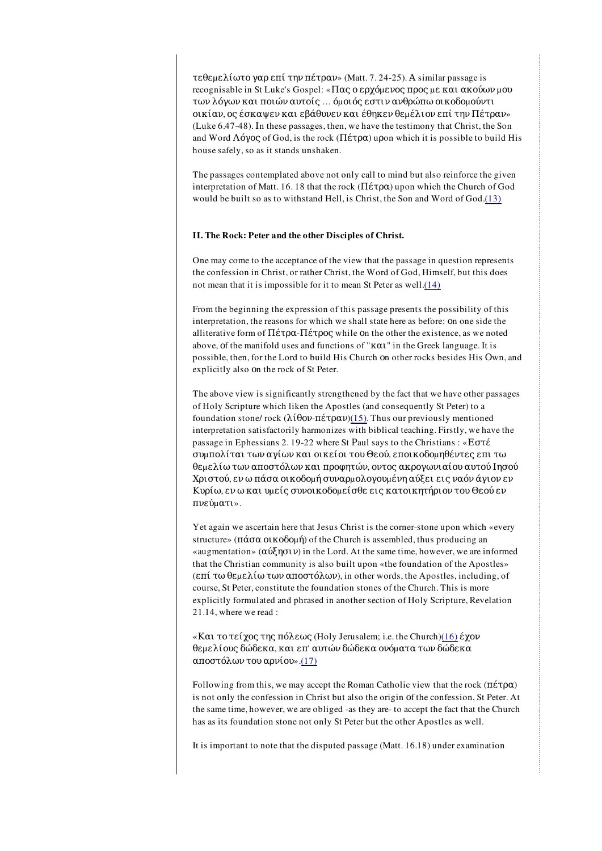τεθεµελίωτο γαρ επί την πέτραν» (Matt. 7. 24-25). Α similar passage is recognisable in St Luke's Gospel: «Πας ο ερχόμενος προς με και ακούων μου των λόγων και ποιών αυτοίς … όµοιός εστιν ανθρώπω οικοδοµούντι οικίαν, ος έσκαψεν και εβάθυνεν και έθηκεν θεµέλιον επί την Πέτραν» (Luke 6.47-48). Ιn these passages, then, we have the testimony that Christ, the Son and Word Λόγος of God, is the rock ( $\Pi \in \mathcal{L}(\mathcal{A})$  upon which it is possible to build His house safely, so as it stands unshaken.

The passages contemplated above not only call to mind but also reinforce the given interpretation of Matt. 16. 18 that the rock (Πέτρα) upon which the Church of God would be built so as to withstand Hell, is Christ, the Son and Word of God.(13)

#### II. The Rock: Peter and the other Disciples of Christ.

One may come to the acceptance of the view that the passage in question represents the confession in Christ, or rather Christ, the Word of God, Himself, but this does not mean that it is impossible for it to mean St Peter as well.(14)

From the beginning the expression of this passage presents the possibility of this interpretation, the reasons for which we shall state here as before: οn one side the alliterative form of  $\Pi \xi \tau \rho \alpha$ - $\Pi \xi \tau \rho \rho \varsigma$  while on the other the existence, as we noted above, οf the manifold uses and functions of "και" in the Greek language. It is possible, then, for the Lord to build His Church οn other rocks besides His Οwn, and explicitly also οn the rock of St Peter.

The above view is significantly strengthened by the fact that we have other passages of Holy Scripture which liken the Apostles (and consequently St Peter) to a foundation stone/ rock (λίθον-πέτραν)(15). Thus our previously mentioned interpretation satisfactorily harmonizes with biblical teaching. Firstly, we have the passage in Ephessians 2. 19-22 where St Ρaul says to the Christians : «Εστέ συµπολίται των αγίων και οικείοι του Θεού, εποικοδοµηθέντες επι τω θεµελίω των αποστόλων και προφητών, οντος ακρογωνιαίου αυτού Ιησού Χριστού, εν ω πάσα οικοδοµή συναρµολογουµένη αύξει εις ναόν άγιον εν Κυρίω, εν ω και υµείς συνοικοδοµείσθε εις κατοικητήριον του Θεού εν πνεύµατι».

Yet again we ascertain here that Jesus Christ is the corner-stone upon which «every structure» ( $\pi \alpha \sigma \alpha$  or  $\alpha \delta \sigma \mu \eta$ ) of the Church is assembled, thus producing an «augmentation» (αύξησιν) in the Lord. At the same time, however, we are informed that the Christian community is also built upon «the foundation of the Apostles» (επί τω θεµελίω των αποστόλων), in other words, the Apostles, including, of course, St Peter, constitute the foundation stones of the Church. This is more explicitly formulated and phrased in another section of Holy Scripture, Revelation 21.14, where we read :

«Και το τείχος της πόλεως (Holy Jerusalem; i.e. the Church)(16) έχον θεµελίους δώδεκα, και επ' αυτών δώδεκα ονόµατα των δώδεκα αποστόλων του αρνίου».(17)

Following from this, we may accept the Roman Catholic view that the rock (πέτρα) is not only the confession in Christ but also the origin οf the confession, St Peter. At the same time, however, we are obliged -as they are- to accept the fact that the Church has as its foundation stone not only St Peter but the other Apostles as well.

It is important to note that the disputed passage (Matt. 16.18) under examination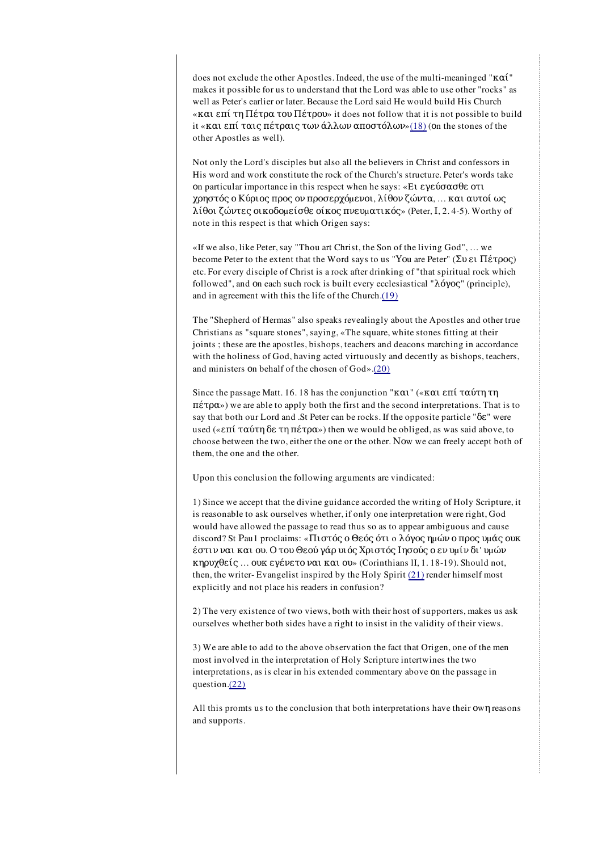does not exclude the other Apostles. Indeed, the use of the multi-meaninged "καί" makes it possible for us to understand that the Lord was able to use other "rocks" as well as Peter's earlier or later. Because the Lord said He would build His Church «και επί τη Πέτρα του Πέτρου» it does not follow that it is not possible to build it «και επί ταις πέτραις των άλλων αποστόλων»(18) (οn the stones of the other Apostles as well).

Not only the Lord's disciples but also all the believers in Christ and confessors in His word and work constitute the rock of the Church's structure. Peter's words take οn particular importance in this respect when he says: «Eι εγεύσασθε οτι χρηστός ο Κύριος προς ον προσερχόµενοι, λίθον ζώντα, … και αυτοί ως λίθοι ζώντες οικοδοµείσθε οίκος πνευµατικός» (Peter, Ι, 2. 4-5). Worthy of note in this respect is that which Origen says:

«If we also, like Peter, say "Thou art Christ, the Son of the living God", … we become Peter to the extent that the Word says to us "Υοu are Peter" (Συ ει Πέτρος) etc. For every disciple of Christ is a rock after drinking of "that spiritual rock which followed", and οn each such rock is built every ecclesiastical "λόγος" (principle), and in agreement with this the life of the Church.(19)

The "Shepherd of Hermas" also speaks revealingly about the Apostles and other true Christians as "square stones", saying, «The square, white stones fitting at their joints ; these are the apostles, bishops, teachers and deacons marching in accordance with the holiness of God, having acted virtuously and decently as bishops, teachers, and ministers οn behalf of the chosen of God».(20)

Since the passage Matt. 16. 18 has the conjunction "και" («και επί ταύτη τη πέτρα») we are able to apply both the first and the second interpretations. That is to say that both our Lord and .St Peter can be rocks. If the opposite particle "δε" were used («επί ταύτη δε τη πέτρα») then we would be obliged, as was said above, to choose between the two, either the one or the other. Νοw we can freely accept both of them, the one and the other.

Upon this conclusion the following arguments are vindicated:

1) Since we accept that the divine guidance accorded the writing of Holy Scripture, it is reasonable to ask ourselves whether, if only one interpretation were right, God would have allowed the passage to read thus so as to appear ambiguous and cause discord? St Pau1 proclaims: «Πιστός ο Θεός ότι ο λόγος ημών ο προς υμάς ουκ έστιν ναι και ου. Ο του Θεού γάρ υιός Χριστός Ιησούς ο εν υµίν δι' υµών κηρυχθείς … ουκ εγένετο ναι και ου» (Corinthians lI, 1. 18-19). Should not, then, the writer- Evangelist inspired by the Holy Spirit (21) render himself most explicitly and not place his readers in confusion?

2) The very existence of two views, both with their host of supporters, makes us ask ourselves whether both sides have a right to insist in the validity of their views.

3) We are able to add to the above observation the fact that Origen, one of the men most involved in the interpretation of Holy Scripture intertwines the two interpretations, as is clear in his extended commentary above οn the passage in question.(22)

All this promts us to the conclusion that both interpretations have their οwη reasons and supports.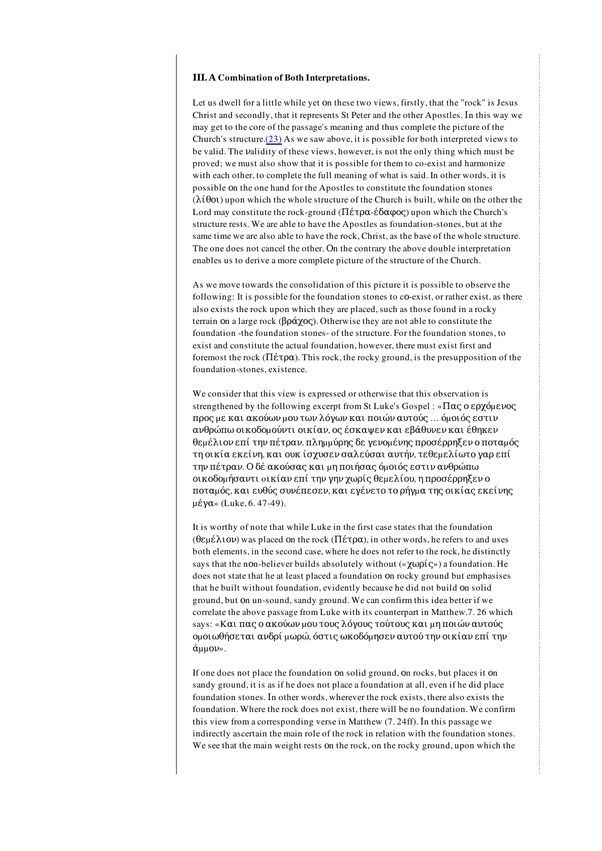#### ΙΙΙ. Α Combination of Both Interpretations.

Let us dwell for a little while yet οn these two views, firstly, that the "rock" is Jesus Christ and secondly, that it represents St Peter and the other Apostles. Ιn this way we may get to the core of the passage's meaning and thus complete the picture of the Church's structure.(23) As we saw above, it is possible for both interpreted views to be valid. The νalidity of these views, however, is not the only thing which must be proved; we must also show that it is possible for them to co-exist and harmonize with each other, to complete the full meaning of what is said. In other words, it is possible οn the one hand for the Apostles to constitute the foundation stones  $(\lambda$ ίθοι) upon which the whole structure of the Church is built, while on the other the Lord may constitute the rock-ground (Πέτρα-έδαφος) upon which the Church's structure rests. We are able to have the Apostles as foundation-stones, but at the same time we are also able to have the rock, Christ, as the base of the whole structure. The one does not cancel the other. Οn the contrary the above double interpretation enables us to derive a more complete picture of the structure of the Church.

As we move towards the consolidation of this picture it is possible to observe the following: It is possible for the foundation stones to co-exist, or rather exist, as there also exists the rock upon which they are placed, such as those found in a rocky terrain οn a large rock (βράχος). Otherwise they are not able to constitute the foundation -the foundation stones- of the structure. For the foundation stones, to exist and constitute the actual foundation, however, there must exist first and foremost the rock (Πέτρα). This rock, the rocky ground, is the presupposition of the foundation-stones, existence.

We consider that this view is expressed or otherwise that this observation is strengthened by the following excerpt from St Luke's Gospel: «Πας ο ερχόμενος προς µε και ακούων µου των λόγων και ποιών αυτούς … όµοιός εστιν ανθρώπω οικοδοµούντι οικίαν, ος έσκαψεν και εβάθυνεν και έθηκεν θεµέλιον επί την πέτραν. πληµµύρης δε γενοµένης προσέρρηξεν ο ποταµός τη οικία εκείνη, και ουκ ίσχυσενσαλεύσαι αυτήν, τεθεµελίωτο γαρ επί την πέτραν. Ο δέ ακούσας και µη ποιήσας όµοιός εστιν ανθρώπω οικοδοµήσαντι oικίαν επί την γην χωρίς θεµελίου, η προσέρρηξεν ο ποταµός, και ευθύς συνέπεσεν, και εγένετο το ρήγµα της οικίας εκείνης µέγα» (Luke, 6. 47-49).

It is worthy of note that while Luke in the first case states that the foundation (θεµέλιον) was placed οn the rock (Πέτρα), in other words, he refers to and uses both elements, in the second case, where he does not refer to the rock, he distinctly says that the nοn-believer builds absolutely without («χωρίς») a foundation. He does not state that he at least placed a foundation οn rocky ground but emphasises that he built without foundation, evidently because he did not build οn solid ground, but οn un-sound, sandy ground. We can confirm this idea better if we correlate the above passage from Luke with its counterpart in Matthew.7. 26 which says: «Και πας ο ακούων μου τους λόγους τούτους και μη ποιών αυτούς οµοιωθήσεται ανδρί µωρώ, όστις ωκοδόµησεν αυτού την οικίαν επί την άµµον».

If one does not place the foundation οn solid ground, οn rocks, but places it οn sandy ground, it is as if he does not place a foundation at all, even if he did place foundation stones. Ιn other words, wherever the rock exists, there also exists the foundation. Where the rock does not exist, there will be no foundation. We confirm this view from a corresponding verse in Matthew (7. 24ff). Ιn this passage we indirectly ascertain the main role of the rock in relation with the foundation stones. We see that the main weight rests on the rock, on the rocky ground, upon which the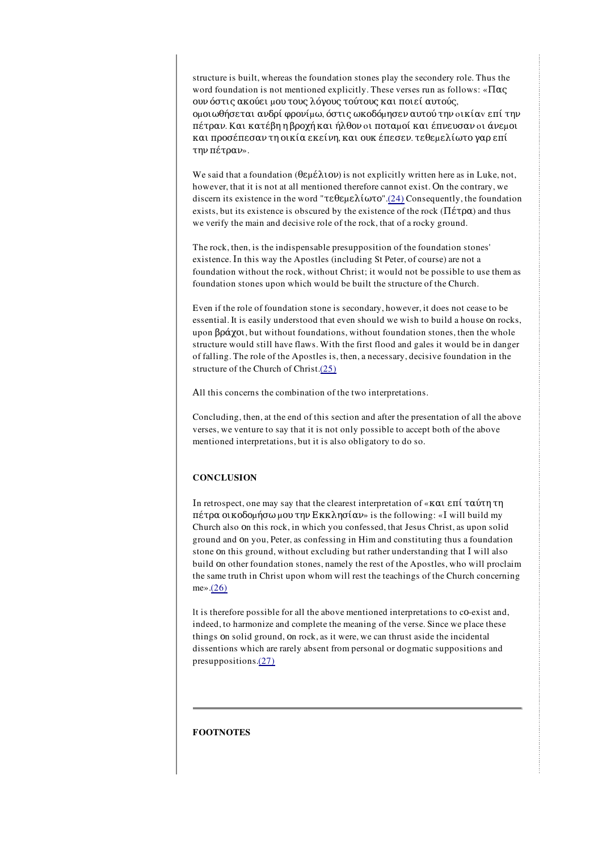structure is built, whereas the foundation stones play the secondery role. Thus the word foundation is not mentioned explicitly. These verses run as follows: « $\Pi\alpha\beta$ ουν όστις ακούει µου τους λόγους τούτους και ποιεί αυτούς, οµοιωθήσεται ανδρί φρονίµω, όστις ωκοδόµησεν αυτού την oικίαv επί την πέτραν. Kαι κατέβη η βροχή και ήλθον oι ποταµοί και έπνευσαν oι άνεµοι και προσέπεσαν τη οικία εκείνη, και ουκ έπεσεν. τεθεµελίωτο γαρ επί την πέτραν».

We said that a foundation ( $\theta \epsilon \mu \epsilon \lambda$ ιον) is not explicitly written here as in Luke, not, however, that it is not at all mentioned therefore cannot exist. Οn the contrary, we discern its existence in the word "τεθεμελίωτο".(24) Consequently, the foundation exists, but its existence is obscured by the existence of the rock ( $\Pi \acute{\epsilon} \tau \rho \alpha$ ) and thus we verify the main and decisive role of the rock, that of a rocky ground.

The rock, then, is the indispensable presupposition of the foundation stones' existence. Ιn this way the Apostles (including St Peter, of course) are not a foundation without the rock, without Christ; it would not be possible to use them as foundation stones upon which would be built the structure of the Church.

Even if the role of foundation stone is secondary, however, it does not cease to be essential. It is easily understood that even should we wish to build a house οn rocks, upon βράχοι, but without foundations, without foundation stones, then the whole structure would still have flaws. With the first flood and gales it would be in danger of falling. The role of the Apostles is, then, a necessary, decisive foundation in the structure of the Church of Christ.(25)

Αll this concerns the combination of the two interpretations.

Concluding, then, at the end of this section and after the presentation of all the above verses, we venture to say that it is not only possible to accept both of the above mentioned interpretations, but it is also obligatory to do so.

## **CONCLUSION**

Ιn retrospect, one may say that the clearest interpretation of «και επί ταύτη τη πέτρα οικοδοµήσω µου την Εκκλησίαν» is the following: «Ι will build my Church also οn this rock, in which you confessed, that Jesus Christ, as upon solid ground and οn you, Peter, as confessing in Him and constituting thus a foundation stone οn this ground, without excluding but rather understanding that Ι will also build οn other foundation stones, namely the rest of the Apostles, who will proclaim the same truth in Christ upon whom will rest the teachings of the Church concerning me».(26)

lt is therefore possible for all the above mentioned interpretations to cο-exist and, indeed, to harmonize and complete the meaning of the verse. Since we place these things οn solid ground, οn rock, as it were, we can thrust aside the incidental dissentions which are rarely absent from personal or dogmatic suppositions and presuppositions.(27)

## FOOTNOTES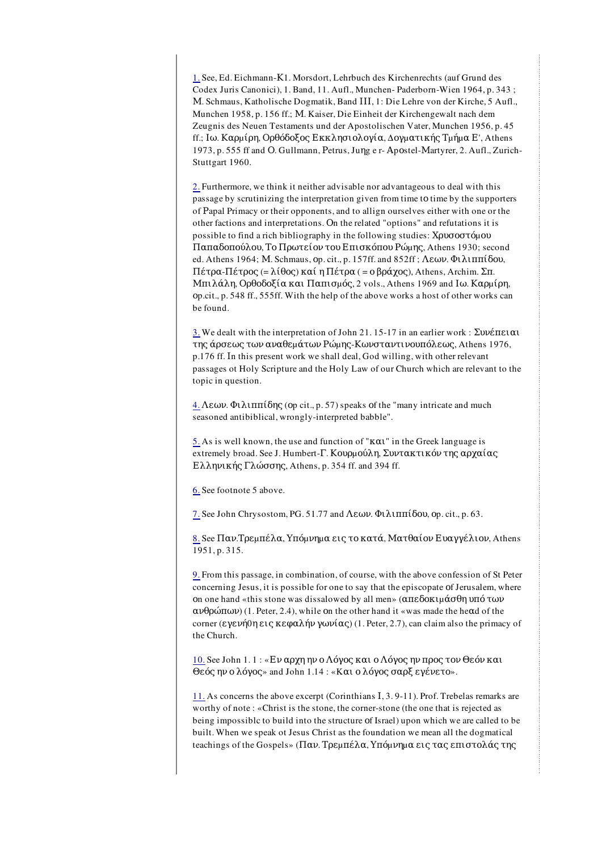1. See, Ed. Eichmann-Κ1. Morsdort, Lehrbuch des Kirchenrechts (auf Grund des Codex Juris Canonici), 1. Band, 11. Aufl., Munchen- Paderborn-Wien 1964, p. 343 ; Μ. Schmaus, Katholische Dogmatik, Band ΙΙΙ, 1: Die Lehre von der Kirche, 5 Aufl., Munchen 1958, p. 156 ff.; Μ. Kaiser, Die Einheit der Kirchengewalt nach dem Zeugnis des Neuen Testaments und der Apostolischen Vater, Munchen 1956, p. 45 ff.; Ιω. Καρµίρη, Ορθόδοξος Εκκλησιολογία, Δογµατικής Τµήµα Ε', Athens 1973, p. 555 ff and Ο. Gullmann, Ρetrus, Juηg e r- Αpοstel-Μartyrer, 2. Aufl., Zurich-Stuttgart 1960.

2. Furthermore, we think it neither advisable nor advantageous to deal with this passage by scrutinizing the interpretation given from time tο time by the supporters of Ρapal Primacy or their opponents, and to allign ourselves either with one or the other factions and interpretations. Οn the related "options" and refutations it is possible to find a rich bibliography in the following studies: Xρυσοστόμου Παπαδοπούλου, Το Πρωτείον του Επισκόπου Ρώµης, Athens 1930; second ed. Athens 1964; Μ. Schmaus, οp. cit., p. 157ff. and 852ff ; Λεων. Φιλιππίδου, Πέτρα-Πέτρος (= λίθος) καί η Πέτρα ( = ο βράχος), Athens, Archim. Σπ. Μπιλάλη, Ορθοδοξία και Παπισµός, 2 vols., Athens 1969 and Ιω. Καρµίρη, οp.cit., p. 548 ff., 555ff. With the help of the above works a host of other works can be found.

3. We dealt with the interpretation of John 21. 15-17 in an earlier work : Συνέπειαι της άρσεως των αναθεµάτων Ρώµης-Κωνσταντινουπόλεως, Athens 1976, p.176 ff. Ιn this present work we shall deal, God willing, with other relevant passages ot Holy Scripture and the Holy Law of our Church which are relevant to the topic in question.

4. Λεων. Φιλιππίδης (οp cit., p. 57) speaks οf the "many intricate and much seasoned antibiblical, wrongly-interpreted babble".

5. As is well known, the use and function of " $K\alpha$ <sup>"</sup> in the Greek language is extremely broad. See J. Humbert-Γ. Κουρµούλη, Συντακτικόν της αρχαίας Ελληνικής Γλώσσης, Athens, p. 354 ff. and 394 ff.

6. See footnote 5 above.

7. See John Chrysostom, PG. 51.77 and Λεων. Φιλιππίδου, οp. cit., p. 63.

8. See Παν.Τρεµπέλα, Υπόµνηµα εις το κατά, Ματθαίον Ευαγγέλιον, Athens 1951, p. 315.

9. From this passage, in combination, of course, with the above confession of St Peter concerning Jesus, it is possible for one to say that the episcopate οf Jerusalem, where οn one hand «this stone was dissalowed by all men» (απεδοκιµάσθη υπό των ανθρώπων) (1. Peter, 2.4), while οn the other hand it «was made the heαd of the corner (εγενή 0η εις κεφαλήν γωνίας) (1. Peter, 2.7), can claim also the primacy of the Church.

10. See John 1. 1 : «Εν αρχη ην ο Λόγος και ο Λόγος ην προς τον Θεόν και Θεός ην ο λόγος» and John 1.14 : «Kαι ο λόγος σαρξ εγένετο».

11. As concerns the above excerpt (Corinthians Ι, 3. 9-11). Prof. Trebelas remarks are worthy of note : «Christ is the stone, the corner-stone (the one that is rejected as being impossiblc to build into the structure οf Israel) upon which we are called to be built. When we speak ot Jesus Christ as the foundation we mean all the dogmatical teachings of the Gospels» (Παν. Τρεµπέλα, Υπόµνηµα εις τας επιστολάς της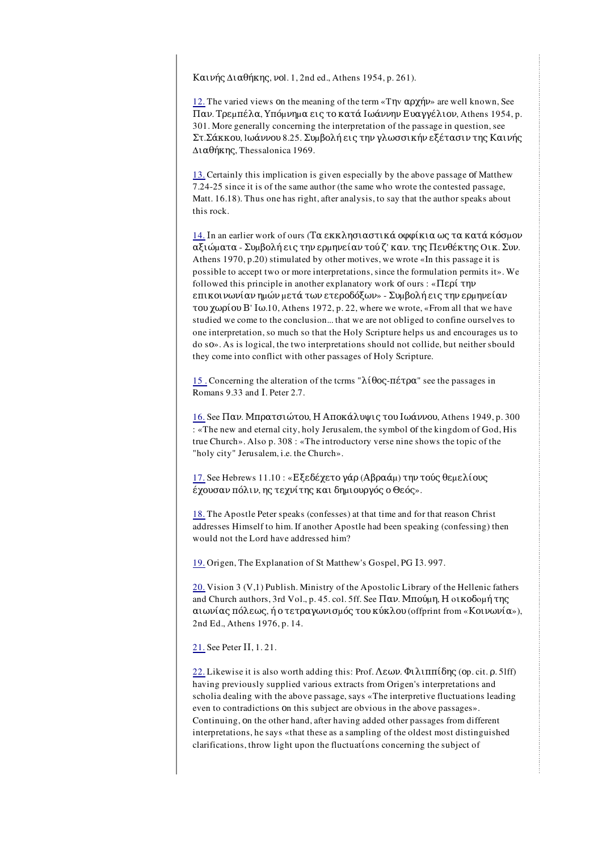Καινής Διαθήκης, νοl. 1, 2nd ed., Athens 1954, p. 261).

12. The varied views οn the meaning of the term «Tηv αρχήν» are well known, See Παν. Τρεµπέλα, Υπόµνηµα εις το κατά Ιωάννην Ευαγγέλιον, Athens 1954, p. 301. More generally concerning the interpretation of the passage in question, see Στ.Σάκκου, lωάννου 8.25. Συµβολή εις την γλωσσικήν εξέτασιν της Καινής Διαθήκης, Thessalonica 1969.

13. Certainly this implication is given especially by the above passage οf Matthew 7.24-25 since it is of the same author (the same who wrote the contested passage, Matt. 16.18). Thus one has right, after analysis, to say that the author speaks about this rock.

14. In an earlier work of ours (Τα εκκλησιαστικά οφφίκια ως τα κατά κόσμον αξιώµατα - Συµβολή εις την ερµηνείαν τού ζ' καν. της Πενθέκτης Oικ. Συν. Athens 1970, p.20) stimulated by other motives, we wrote «In this passage it is possible to accept two or more interpretations, since the formulation permits it». We followed this principle in another explanatory work οf ours : «Περί την επικοινωνίαν ηµών µετά των ετεροδόξων» - Συµβολή εις την ερµηνείαν του χωρίου Β' Ιω.10, Athens 1972, p. 22, where we wrote, «From all that we have studied we come to the conclusion... that we are not obliged to confine ourselves to one interpretation, so much so that the Holy Scripture helps us and encourages us to do sο». As is logical, the two interpretations should not collide, but neither sbould they come into conflict with other passages of Holy Scripture.

15 . Concerning the alteration of the tcrms "λίθος-πέτρα" see the passages in Romans 9.33 and Ι. Peter 2.7.

16. See Παν. Μπρατσιώτου, Η Αποκάλυψις του Ιωάννου, Athens 1949, p. 300 : «The new and eternal city, holy Jerusalem, the symbol οf the kingdom of God, His true Church». Also p. 308 : «The introductory verse nine shows the topic of the "holy city" Jerusalem, i.e. the Church».

17. See Hebrews 11.10 : «Εξεδέχετο γάρ (Αβραάµ) την τούς θεµελίους έχουσαν πόλιν, ης τεχνίτης και δηµιουργός ο Θεός».

18. The Apostle Peter speaks (confesses) at that time and for that reason Christ addresses Himself to him. If another Apostle had been speaking (confessing) then would not the Lord have addressed him?

19. Origen, The Explanation of St Matthew's Gospel, PG Ι3. 997.

20. Vision 3 (V,1) Publish. Ministry of the Apostolic Library of the Hellenic fathers and Church authors, 3rd Vol., p. 45. col. 5ff. See Παν. Μπούµη, Η oικοδoµή της αιωνίας πόλεως, ή ο τετραγωνισµός του κύκλου (offprint from «Κοινωνία»), 2nd Ed., Athens 1976, p. 14.

21. See Peter ΙΙ, 1. 21.

22. Likewise it is also worth adding this: Prof.  $Λεων$ . Φιλιππίδης (op. cit.  $ρ$ . 5lff) having previously supplied various extracts from Origen's interpretations and scholia dealing with the above passage, says «The interpretive fluctuations leading even to contradictions οn this subject are obvious in the above passages». Continuing, οn the other hand, after having added other passages from different interpretations, he says «that these as a sampling of the oldest most distinguished clarifications, throw light upon the fluctuatίons concerning the subject of